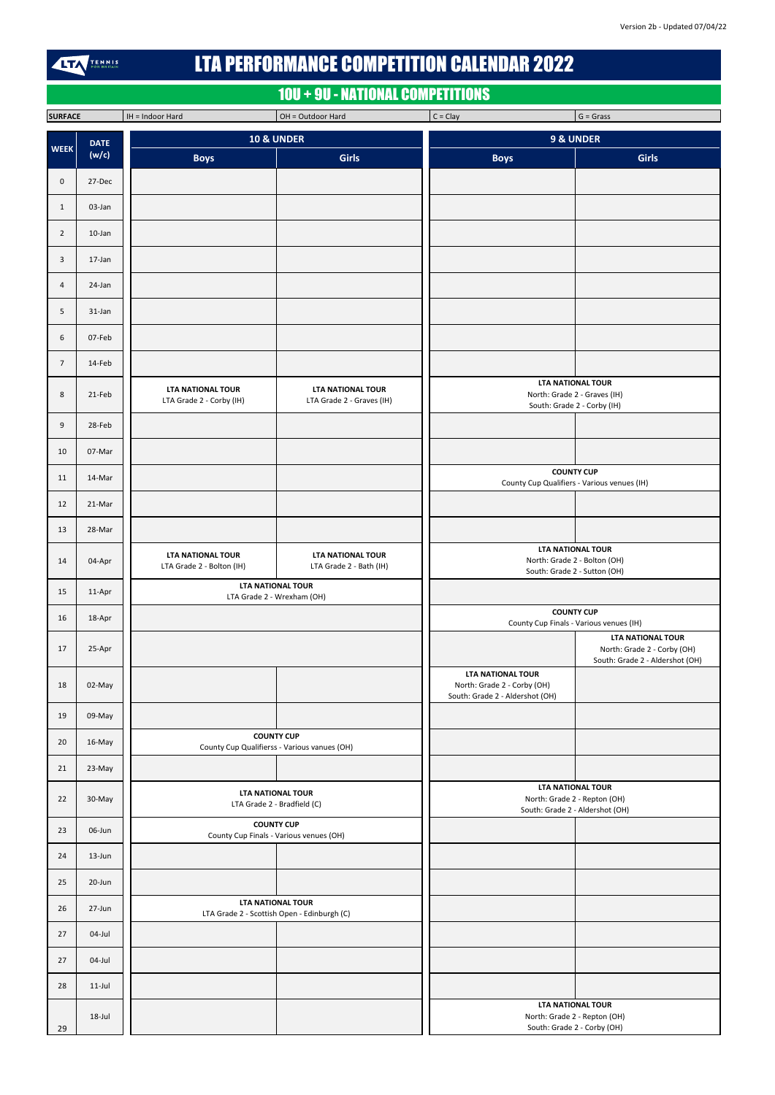### TENNIS

## LTA PERFORMANCE COMPETITION CALENDAR 2022

| <b>SURFACE</b> |             | IH = Indoor Hard                                                  | OH = Outdoor Hard                                     | $C = Clay$                                                                                  | $G = Grass$                                                                                |  |
|----------------|-------------|-------------------------------------------------------------------|-------------------------------------------------------|---------------------------------------------------------------------------------------------|--------------------------------------------------------------------------------------------|--|
|                | <b>DATE</b> | <b>10 &amp; UNDER</b>                                             |                                                       | 9 & UNDER                                                                                   |                                                                                            |  |
| WEEK           | (w/c)       | <b>Boys</b>                                                       | <b>Girls</b>                                          | <b>Boys</b>                                                                                 | <b>Girls</b>                                                                               |  |
| 0              | 27-Dec      |                                                                   |                                                       |                                                                                             |                                                                                            |  |
| $\mathbf{1}$   | 03-Jan      |                                                                   |                                                       |                                                                                             |                                                                                            |  |
| $\overline{2}$ | $10$ -Jan   |                                                                   |                                                       |                                                                                             |                                                                                            |  |
| 3              | 17-Jan      |                                                                   |                                                       |                                                                                             |                                                                                            |  |
| $\overline{4}$ | 24-Jan      |                                                                   |                                                       |                                                                                             |                                                                                            |  |
| 5              | 31-Jan      |                                                                   |                                                       |                                                                                             |                                                                                            |  |
| 6              | 07-Feb      |                                                                   |                                                       |                                                                                             |                                                                                            |  |
| $\overline{7}$ | 14-Feb      |                                                                   |                                                       |                                                                                             |                                                                                            |  |
| 8              | 21-Feb      | <b>LTA NATIONAL TOUR</b><br>LTA Grade 2 - Corby (IH)              | <b>LTA NATIONAL TOUR</b><br>LTA Grade 2 - Graves (IH) | <b>LTA NATIONAL TOUR</b><br>North: Grade 2 - Graves (IH)<br>South: Grade 2 - Corby (IH)     |                                                                                            |  |
| 9              | 28-Feb      |                                                                   |                                                       |                                                                                             |                                                                                            |  |
| 10             | 07-Mar      |                                                                   |                                                       |                                                                                             |                                                                                            |  |
| 11             | 14-Mar      |                                                                   |                                                       |                                                                                             | <b>COUNTY CUP</b><br>County Cup Qualifiers - Various venues (IH)                           |  |
| 12             | 21-Mar      |                                                                   |                                                       |                                                                                             |                                                                                            |  |
| 13             | 28-Mar      |                                                                   |                                                       |                                                                                             |                                                                                            |  |
| 14             | 04-Apr      | <b>LTA NATIONAL TOUR</b><br>LTA Grade 2 - Bolton (IH)             | <b>LTA NATIONAL TOUR</b><br>LTA Grade 2 - Bath (IH)   | <b>LTA NATIONAL TOUR</b><br>North: Grade 2 - Bolton (OH)<br>South: Grade 2 - Sutton (OH)    |                                                                                            |  |
| 15             | 11-Apr      | <b>LTA NATIONAL TOUR</b><br>LTA Grade 2 - Wrexham (OH)            |                                                       |                                                                                             |                                                                                            |  |
| 16             | 18-Apr      |                                                                   |                                                       |                                                                                             | <b>COUNTY CUP</b><br>County Cup Finals - Various venues (IH)                               |  |
| 17             | 25-Apr      |                                                                   |                                                       |                                                                                             | <b>LTA NATIONAL TOUR</b><br>North: Grade 2 - Corby (OH)<br>South: Grade 2 - Aldershot (OH) |  |
| 18             | 02-May      |                                                                   |                                                       | <b>LTA NATIONAL TOUR</b><br>North: Grade 2 - Corby (OH)<br>South: Grade 2 - Aldershot (OH)  |                                                                                            |  |
| 19             | 09-May      |                                                                   |                                                       |                                                                                             |                                                                                            |  |
| 20             | 16-May      | <b>COUNTY CUP</b><br>County Cup Qualifierss - Various vanues (OH) |                                                       |                                                                                             |                                                                                            |  |
| 21             | 23-May      |                                                                   |                                                       |                                                                                             |                                                                                            |  |
| 22             | 30-May      | <b>LTA NATIONAL TOUR</b><br>LTA Grade 2 - Bradfield (C)           |                                                       | <b>LTA NATIONAL TOUR</b><br>North: Grade 2 - Repton (OH)<br>South: Grade 2 - Aldershot (OH) |                                                                                            |  |
|                |             | <b>COUNTY CUP</b>                                                 |                                                       |                                                                                             |                                                                                            |  |

#### 10U + 9U - NATIONAL COMPETITIONS

| 23 | 06-Jun     | ----------<br>County Cup Finals - Various venues (OH)                   |                                                                                         |  |
|----|------------|-------------------------------------------------------------------------|-----------------------------------------------------------------------------------------|--|
| 24 | $13 - Jun$ |                                                                         |                                                                                         |  |
| 25 | 20-Jun     |                                                                         |                                                                                         |  |
| 26 | 27-Jun     | <b>LTA NATIONAL TOUR</b><br>LTA Grade 2 - Scottish Open - Edinburgh (C) |                                                                                         |  |
| 27 | 04-Jul     |                                                                         |                                                                                         |  |
| 27 | 04-Jul     |                                                                         |                                                                                         |  |
| 28 | $11$ -Jul  |                                                                         |                                                                                         |  |
| 29 | 18-Jul     |                                                                         | <b>LTA NATIONAL TOUR</b><br>North: Grade 2 - Repton (OH)<br>South: Grade 2 - Corby (OH) |  |